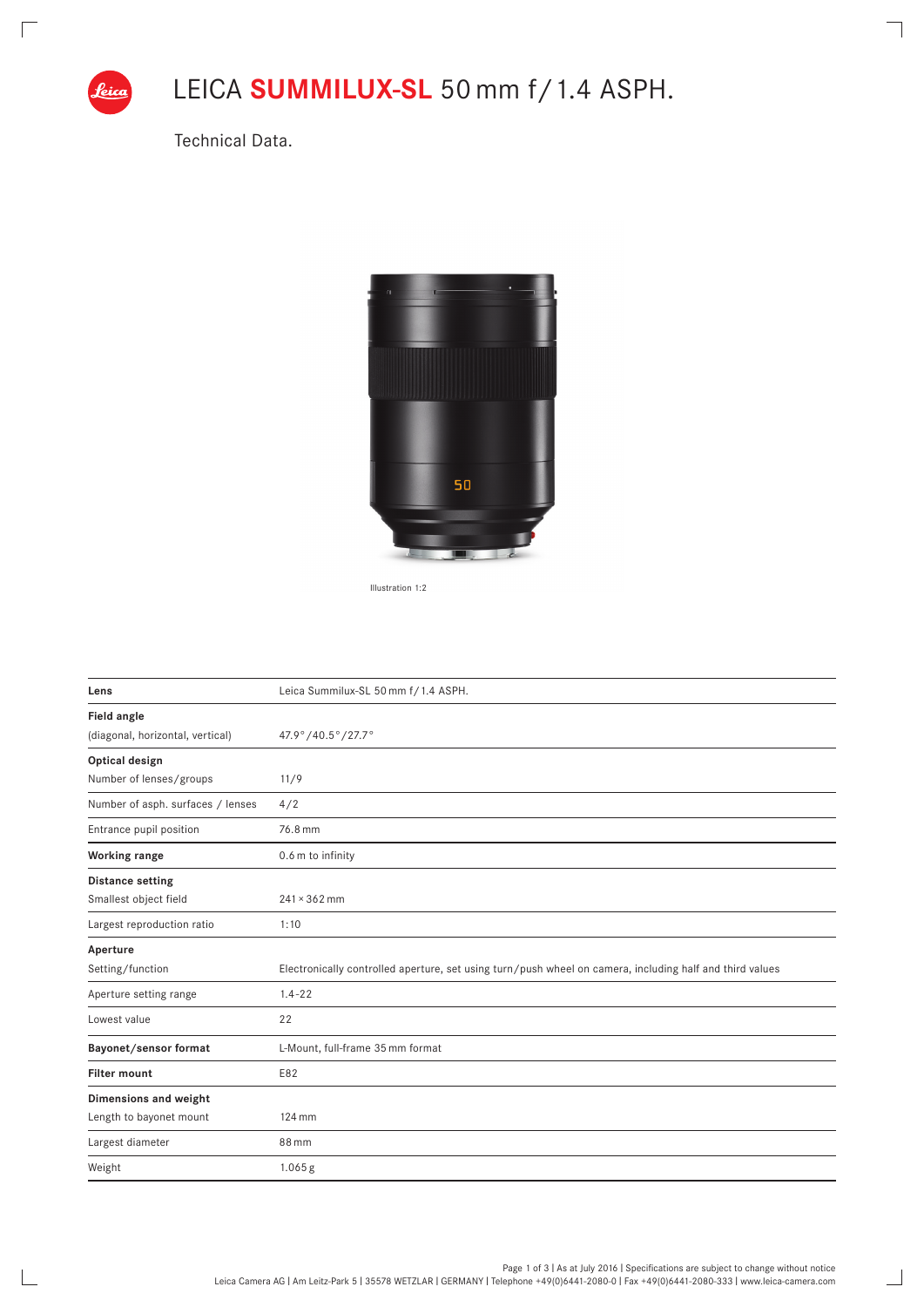

 $\sqrt{2}$ 

 $\mathbb{R}$ 

## LEICA **SUMMILUX-SL** 50 mm f/1.4 ASPH.

 $\overline{\phantom{a}}$ 

 $\Box$ 

Technical Data.



Illustration 1:2

| Lens                              | Leica Summilux-SL 50 mm f/1.4 ASPH.                                                                      |
|-----------------------------------|----------------------------------------------------------------------------------------------------------|
| Field angle                       |                                                                                                          |
| (diagonal, horizontal, vertical)  | 47.9°/40.5°/27.7°                                                                                        |
| Optical design                    |                                                                                                          |
| Number of lenses/groups           | 11/9                                                                                                     |
| Number of asph. surfaces / lenses | 4/2                                                                                                      |
| Entrance pupil position           | 76.8 mm                                                                                                  |
| Working range                     | 0.6 m to infinity                                                                                        |
| <b>Distance setting</b>           |                                                                                                          |
| Smallest object field             | $241 \times 362$ mm                                                                                      |
| Largest reproduction ratio        | 1:10                                                                                                     |
| Aperture                          |                                                                                                          |
| Setting/function                  | Electronically controlled aperture, set using turn/push wheel on camera, including half and third values |
| Aperture setting range            | $1.4 - 22$                                                                                               |
| Lowest value                      | 22                                                                                                       |
| Bayonet/sensor format             | L-Mount, full-frame 35 mm format                                                                         |
| <b>Filter mount</b>               | E82                                                                                                      |
| Dimensions and weight             |                                                                                                          |
| Length to bayonet mount           | 124 mm                                                                                                   |
| Largest diameter                  | 88 mm                                                                                                    |
| Weight                            | $1.065$ g                                                                                                |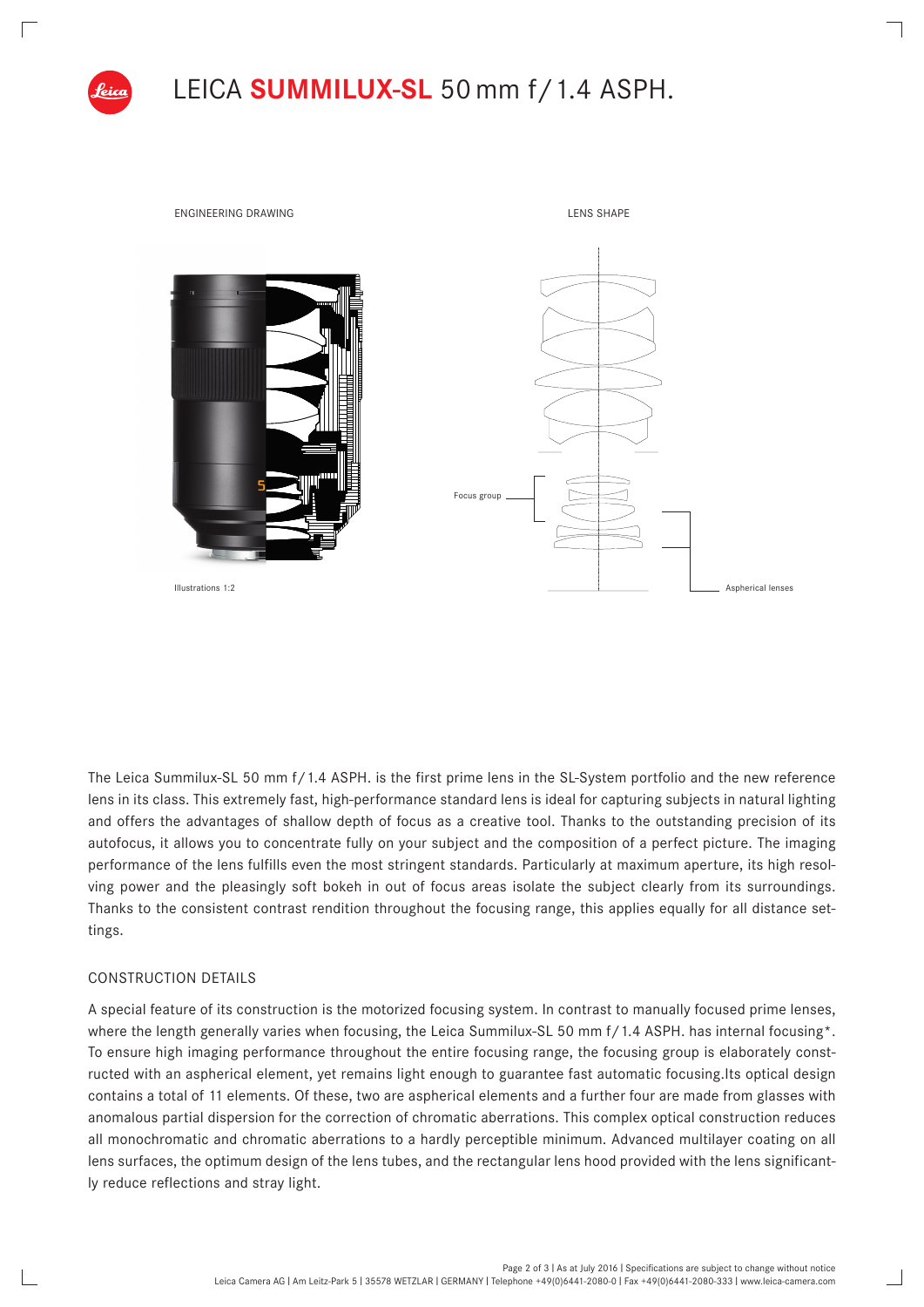



The Leica Summilux-SL 50 mm f/1.4 ASPH. is the first prime lens in the SL-System portfolio and the new reference lens in its class. This extremely fast, high-performance standard lens is ideal for capturing subjects in natural lighting and offers the advantages of shallow depth of focus as a creative tool. Thanks to the outstanding precision of its autofocus, it allows you to concentrate fully on your subject and the composition of a perfect picture. The imaging performance of the lens fulfills even the most stringent standards. Particularly at maximum aperture, its high resolving power and the pleasingly soft bokeh in out of focus areas isolate the subject clearly from its surroundings. Thanks to the consistent contrast rendition throughout the focusing range, this applies equally for all distance settings.

## CONSTRUCTION DETAILS

A special feature of its construction is the motorized focusing system. In contrast to manually focused prime lenses, where the length generally varies when focusing, the Leica Summilux-SL 50 mm f/1.4 ASPH. has internal focusing\*. To ensure high imaging performance throughout the entire focusing range, the focusing group is elaborately constructed with an aspherical element, yet remains light enough to guarantee fast automatic focusing.Its optical design contains a total of 11 elements. Of these, two are aspherical elements and a further four are made from glasses with anomalous partial dispersion for the correction of chromatic aberrations. This complex optical construction reduces all monochromatic and chromatic aberrations to a hardly perceptible minimum. Advanced multilayer coating on all lens surfaces, the optimum design of the lens tubes, and the rectangular lens hood provided with the lens significantly reduce reflections and stray light.